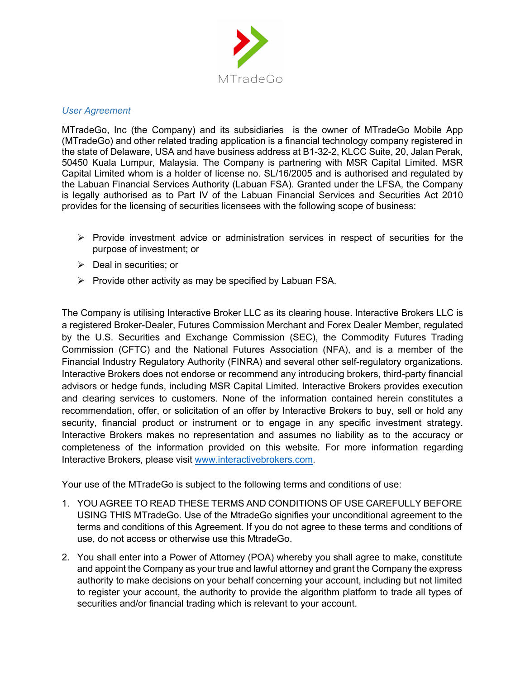

## *User Agreement*

MTradeGo, Inc (the Company) and its subsidiaries is the owner of MTradeGo Mobile App (MTradeGo) and other related trading application is a financial technology company registered in the state of Delaware, USA and have business address at B1-32-2, KLCC Suite, 20, Jalan Perak, 50450 Kuala Lumpur, Malaysia. The Company is partnering with MSR Capital Limited. MSR Capital Limited whom is a holder of license no. SL/16/2005 and is authorised and regulated by the Labuan Financial Services Authority (Labuan FSA). Granted under the LFSA, the Company is legally authorised as to Part IV of the Labuan Financial Services and Securities Act 2010 provides for the licensing of securities licensees with the following scope of business:

- $\triangleright$  Provide investment advice or administration services in respect of securities for the purpose of investment; or
- $\triangleright$  Deal in securities; or
- $\triangleright$  Provide other activity as may be specified by Labuan FSA.

The Company is utilising Interactive Broker LLC as its clearing house. Interactive Brokers LLC is a registered Broker-Dealer, Futures Commission Merchant and Forex Dealer Member, regulated by the U.S. Securities and Exchange Commission (SEC), the Commodity Futures Trading Commission (CFTC) and the National Futures Association (NFA), and is a member of the Financial Industry Regulatory Authority (FINRA) and several other self-regulatory organizations. Interactive Brokers does not endorse or recommend any introducing brokers, third-party financial advisors or hedge funds, including MSR Capital Limited. Interactive Brokers provides execution and clearing services to customers. None of the information contained herein constitutes a recommendation, offer, or solicitation of an offer by Interactive Brokers to buy, sell or hold any security, financial product or instrument or to engage in any specific investment strategy. Interactive Brokers makes no representation and assumes no liability as to the accuracy or completeness of the information provided on this website. For more information regarding Interactive Brokers, please visit www.interactivebrokers.com.

Your use of the MTradeGo is subject to the following terms and conditions of use:

- 1. YOU AGREE TO READ THESE TERMS AND CONDITIONS OF USE CAREFULLY BEFORE USING THIS MTradeGo. Use of the MtradeGo signifies your unconditional agreement to the terms and conditions of this Agreement. If you do not agree to these terms and conditions of use, do not access or otherwise use this MtradeGo.
- 2. You shall enter into a Power of Attorney (POA) whereby you shall agree to make, constitute and appoint the Company as your true and lawful attorney and grant the Company the express authority to make decisions on your behalf concerning your account, including but not limited to register your account, the authority to provide the algorithm platform to trade all types of securities and/or financial trading which is relevant to your account.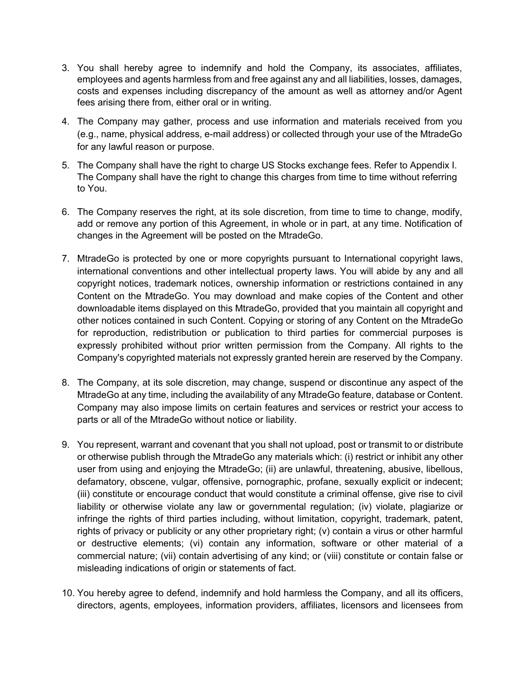- 3. You shall hereby agree to indemnify and hold the Company, its associates, affiliates, employees and agents harmless from and free against any and all liabilities, losses, damages, costs and expenses including discrepancy of the amount as well as attorney and/or Agent fees arising there from, either oral or in writing.
- 4. The Company may gather, process and use information and materials received from you (e.g., name, physical address, e-mail address) or collected through your use of the MtradeGo for any lawful reason or purpose.
- 5. The Company shall have the right to charge US Stocks exchange fees. Refer to Appendix I. The Company shall have the right to change this charges from time to time without referring to You.
- 6. The Company reserves the right, at its sole discretion, from time to time to change, modify, add or remove any portion of this Agreement, in whole or in part, at any time. Notification of changes in the Agreement will be posted on the MtradeGo.
- 7. MtradeGo is protected by one or more copyrights pursuant to International copyright laws, international conventions and other intellectual property laws. You will abide by any and all copyright notices, trademark notices, ownership information or restrictions contained in any Content on the MtradeGo. You may download and make copies of the Content and other downloadable items displayed on this MtradeGo, provided that you maintain all copyright and other notices contained in such Content. Copying or storing of any Content on the MtradeGo for reproduction, redistribution or publication to third parties for commercial purposes is expressly prohibited without prior written permission from the Company. All rights to the Company's copyrighted materials not expressly granted herein are reserved by the Company.
- 8. The Company, at its sole discretion, may change, suspend or discontinue any aspect of the MtradeGo at any time, including the availability of any MtradeGo feature, database or Content. Company may also impose limits on certain features and services or restrict your access to parts or all of the MtradeGo without notice or liability.
- 9. You represent, warrant and covenant that you shall not upload, post or transmit to or distribute or otherwise publish through the MtradeGo any materials which: (i) restrict or inhibit any other user from using and enjoying the MtradeGo; (ii) are unlawful, threatening, abusive, libellous, defamatory, obscene, vulgar, offensive, pornographic, profane, sexually explicit or indecent; (iii) constitute or encourage conduct that would constitute a criminal offense, give rise to civil liability or otherwise violate any law or governmental regulation; (iv) violate, plagiarize or infringe the rights of third parties including, without limitation, copyright, trademark, patent, rights of privacy or publicity or any other proprietary right; (v) contain a virus or other harmful or destructive elements; (vi) contain any information, software or other material of a commercial nature; (vii) contain advertising of any kind; or (viii) constitute or contain false or misleading indications of origin or statements of fact.
- 10. You hereby agree to defend, indemnify and hold harmless the Company, and all its officers, directors, agents, employees, information providers, affiliates, licensors and licensees from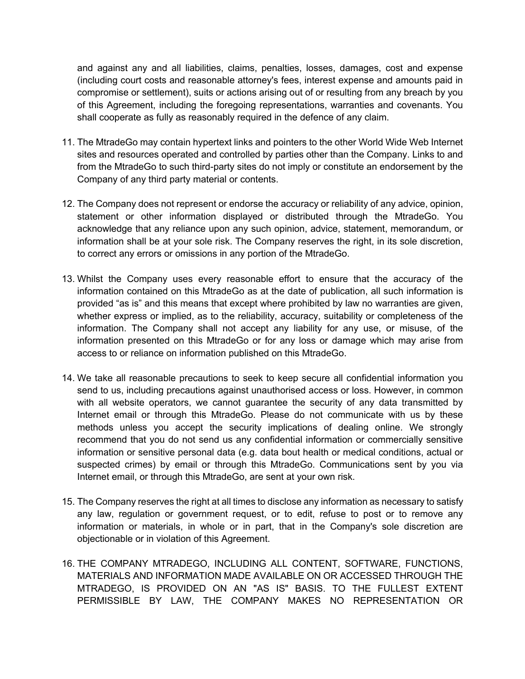and against any and all liabilities, claims, penalties, losses, damages, cost and expense (including court costs and reasonable attorney's fees, interest expense and amounts paid in compromise or settlement), suits or actions arising out of or resulting from any breach by you of this Agreement, including the foregoing representations, warranties and covenants. You shall cooperate as fully as reasonably required in the defence of any claim.

- 11. The MtradeGo may contain hypertext links and pointers to the other World Wide Web Internet sites and resources operated and controlled by parties other than the Company. Links to and from the MtradeGo to such third-party sites do not imply or constitute an endorsement by the Company of any third party material or contents.
- 12. The Company does not represent or endorse the accuracy or reliability of any advice, opinion, statement or other information displayed or distributed through the MtradeGo. You acknowledge that any reliance upon any such opinion, advice, statement, memorandum, or information shall be at your sole risk. The Company reserves the right, in its sole discretion, to correct any errors or omissions in any portion of the MtradeGo.
- 13. Whilst the Company uses every reasonable effort to ensure that the accuracy of the information contained on this MtradeGo as at the date of publication, all such information is provided "as is" and this means that except where prohibited by law no warranties are given, whether express or implied, as to the reliability, accuracy, suitability or completeness of the information. The Company shall not accept any liability for any use, or misuse, of the information presented on this MtradeGo or for any loss or damage which may arise from access to or reliance on information published on this MtradeGo.
- 14. We take all reasonable precautions to seek to keep secure all confidential information you send to us, including precautions against unauthorised access or loss. However, in common with all website operators, we cannot guarantee the security of any data transmitted by Internet email or through this MtradeGo. Please do not communicate with us by these methods unless you accept the security implications of dealing online. We strongly recommend that you do not send us any confidential information or commercially sensitive information or sensitive personal data (e.g. data bout health or medical conditions, actual or suspected crimes) by email or through this MtradeGo. Communications sent by you via Internet email, or through this MtradeGo, are sent at your own risk.
- 15. The Company reserves the right at all times to disclose any information as necessary to satisfy any law, regulation or government request, or to edit, refuse to post or to remove any information or materials, in whole or in part, that in the Company's sole discretion are objectionable or in violation of this Agreement.
- 16. THE COMPANY MTRADEGO, INCLUDING ALL CONTENT, SOFTWARE, FUNCTIONS, MATERIALS AND INFORMATION MADE AVAILABLE ON OR ACCESSED THROUGH THE MTRADEGO, IS PROVIDED ON AN "AS IS" BASIS. TO THE FULLEST EXTENT PERMISSIBLE BY LAW, THE COMPANY MAKES NO REPRESENTATION OR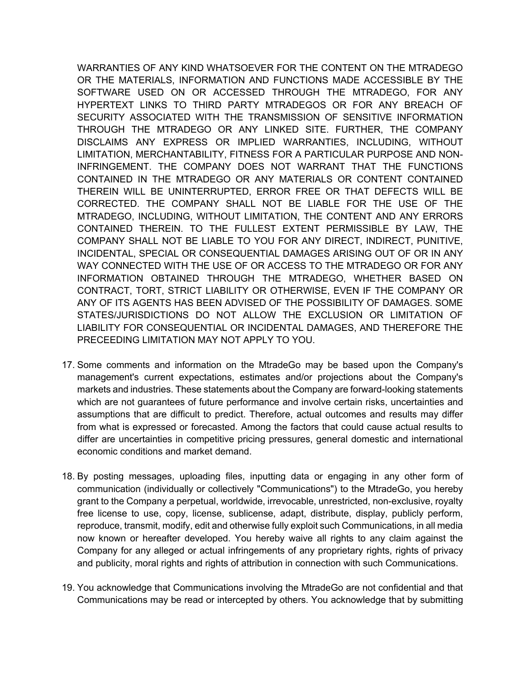WARRANTIES OF ANY KIND WHATSOEVER FOR THE CONTENT ON THE MTRADEGO OR THE MATERIALS, INFORMATION AND FUNCTIONS MADE ACCESSIBLE BY THE SOFTWARE USED ON OR ACCESSED THROUGH THE MTRADEGO, FOR ANY HYPERTEXT LINKS TO THIRD PARTY MTRADEGOS OR FOR ANY BREACH OF SECURITY ASSOCIATED WITH THE TRANSMISSION OF SENSITIVE INFORMATION THROUGH THE MTRADEGO OR ANY LINKED SITE. FURTHER, THE COMPANY DISCLAIMS ANY EXPRESS OR IMPLIED WARRANTIES, INCLUDING, WITHOUT LIMITATION, MERCHANTABILITY, FITNESS FOR A PARTICULAR PURPOSE AND NON-INFRINGEMENT. THE COMPANY DOES NOT WARRANT THAT THE FUNCTIONS CONTAINED IN THE MTRADEGO OR ANY MATERIALS OR CONTENT CONTAINED THEREIN WILL BE UNINTERRUPTED, ERROR FREE OR THAT DEFECTS WILL BE CORRECTED. THE COMPANY SHALL NOT BE LIABLE FOR THE USE OF THE MTRADEGO, INCLUDING, WITHOUT LIMITATION, THE CONTENT AND ANY ERRORS CONTAINED THEREIN. TO THE FULLEST EXTENT PERMISSIBLE BY LAW, THE COMPANY SHALL NOT BE LIABLE TO YOU FOR ANY DIRECT, INDIRECT, PUNITIVE, INCIDENTAL, SPECIAL OR CONSEQUENTIAL DAMAGES ARISING OUT OF OR IN ANY WAY CONNECTED WITH THE USE OF OR ACCESS TO THE MTRADEGO OR FOR ANY INFORMATION OBTAINED THROUGH THE MTRADEGO, WHETHER BASED ON CONTRACT, TORT, STRICT LIABILITY OR OTHERWISE, EVEN IF THE COMPANY OR ANY OF ITS AGENTS HAS BEEN ADVISED OF THE POSSIBILITY OF DAMAGES. SOME STATES/JURISDICTIONS DO NOT ALLOW THE EXCLUSION OR LIMITATION OF LIABILITY FOR CONSEQUENTIAL OR INCIDENTAL DAMAGES, AND THEREFORE THE PRECEEDING LIMITATION MAY NOT APPLY TO YOU.

- 17. Some comments and information on the MtradeGo may be based upon the Company's management's current expectations, estimates and/or projections about the Company's markets and industries. These statements about the Company are forward-looking statements which are not guarantees of future performance and involve certain risks, uncertainties and assumptions that are difficult to predict. Therefore, actual outcomes and results may differ from what is expressed or forecasted. Among the factors that could cause actual results to differ are uncertainties in competitive pricing pressures, general domestic and international economic conditions and market demand.
- 18. By posting messages, uploading files, inputting data or engaging in any other form of communication (individually or collectively "Communications") to the MtradeGo, you hereby grant to the Company a perpetual, worldwide, irrevocable, unrestricted, non-exclusive, royalty free license to use, copy, license, sublicense, adapt, distribute, display, publicly perform, reproduce, transmit, modify, edit and otherwise fully exploit such Communications, in all media now known or hereafter developed. You hereby waive all rights to any claim against the Company for any alleged or actual infringements of any proprietary rights, rights of privacy and publicity, moral rights and rights of attribution in connection with such Communications.
- 19. You acknowledge that Communications involving the MtradeGo are not confidential and that Communications may be read or intercepted by others. You acknowledge that by submitting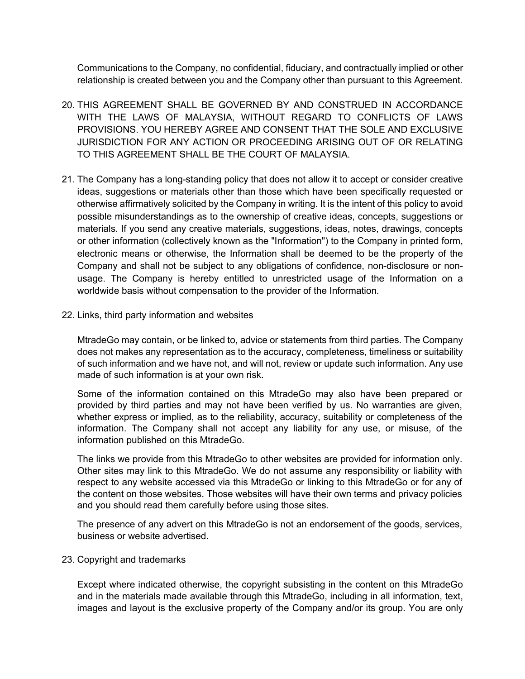Communications to the Company, no confidential, fiduciary, and contractually implied or other relationship is created between you and the Company other than pursuant to this Agreement.

- 20. THIS AGREEMENT SHALL BE GOVERNED BY AND CONSTRUED IN ACCORDANCE WITH THE LAWS OF MALAYSIA, WITHOUT REGARD TO CONFLICTS OF LAWS PROVISIONS. YOU HEREBY AGREE AND CONSENT THAT THE SOLE AND EXCLUSIVE JURISDICTION FOR ANY ACTION OR PROCEEDING ARISING OUT OF OR RELATING TO THIS AGREEMENT SHALL BE THE COURT OF MALAYSIA
- 21. The Company has a long-standing policy that does not allow it to accept or consider creative ideas, suggestions or materials other than those which have been specifically requested or otherwise affirmatively solicited by the Company in writing. It is the intent of this policy to avoid possible misunderstandings as to the ownership of creative ideas, concepts, suggestions or materials. If you send any creative materials, suggestions, ideas, notes, drawings, concepts or other information (collectively known as the "Information") to the Company in printed form, electronic means or otherwise, the Information shall be deemed to be the property of the Company and shall not be subject to any obligations of confidence, non-disclosure or nonusage. The Company is hereby entitled to unrestricted usage of the Information on a worldwide basis without compensation to the provider of the Information.
- 22. Links, third party information and websites

MtradeGo may contain, or be linked to, advice or statements from third parties. The Company does not makes any representation as to the accuracy, completeness, timeliness or suitability of such information and we have not, and will not, review or update such information. Any use made of such information is at your own risk.

Some of the information contained on this MtradeGo may also have been prepared or provided by third parties and may not have been verified by us. No warranties are given, whether express or implied, as to the reliability, accuracy, suitability or completeness of the information. The Company shall not accept any liability for any use, or misuse, of the information published on this MtradeGo.

The links we provide from this MtradeGo to other websites are provided for information only. Other sites may link to this MtradeGo. We do not assume any responsibility or liability with respect to any website accessed via this MtradeGo or linking to this MtradeGo or for any of the content on those websites. Those websites will have their own terms and privacy policies and you should read them carefully before using those sites.

The presence of any advert on this MtradeGo is not an endorsement of the goods, services, business or website advertised.

## 23. Copyright and trademarks

Except where indicated otherwise, the copyright subsisting in the content on this MtradeGo and in the materials made available through this MtradeGo, including in all information, text, images and layout is the exclusive property of the Company and/or its group. You are only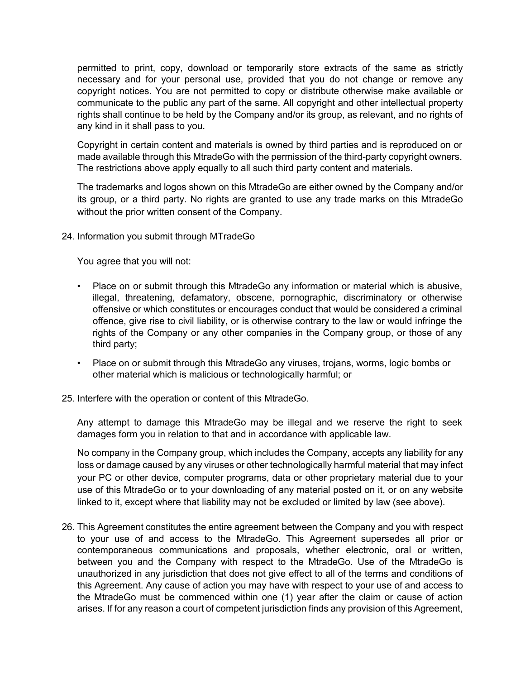permitted to print, copy, download or temporarily store extracts of the same as strictly necessary and for your personal use, provided that you do not change or remove any copyright notices. You are not permitted to copy or distribute otherwise make available or communicate to the public any part of the same. All copyright and other intellectual property rights shall continue to be held by the Company and/or its group, as relevant, and no rights of any kind in it shall pass to you.

Copyright in certain content and materials is owned by third parties and is reproduced on or made available through this MtradeGo with the permission of the third-party copyright owners. The restrictions above apply equally to all such third party content and materials.

The trademarks and logos shown on this MtradeGo are either owned by the Company and/or its group, or a third party. No rights are granted to use any trade marks on this MtradeGo without the prior written consent of the Company.

24. Information you submit through MTradeGo

You agree that you will not:

- Place on or submit through this MtradeGo any information or material which is abusive, illegal, threatening, defamatory, obscene, pornographic, discriminatory or otherwise offensive or which constitutes or encourages conduct that would be considered a criminal offence, give rise to civil liability, or is otherwise contrary to the law or would infringe the rights of the Company or any other companies in the Company group, or those of any third party;
- Place on or submit through this MtradeGo any viruses, trojans, worms, logic bombs or other material which is malicious or technologically harmful; or
- 25. Interfere with the operation or content of this MtradeGo.

Any attempt to damage this MtradeGo may be illegal and we reserve the right to seek damages form you in relation to that and in accordance with applicable law.

No company in the Company group, which includes the Company, accepts any liability for any loss or damage caused by any viruses or other technologically harmful material that may infect your PC or other device, computer programs, data or other proprietary material due to your use of this MtradeGo or to your downloading of any material posted on it, or on any website linked to it, except where that liability may not be excluded or limited by law (see above).

26. This Agreement constitutes the entire agreement between the Company and you with respect to your use of and access to the MtradeGo. This Agreement supersedes all prior or contemporaneous communications and proposals, whether electronic, oral or written, between you and the Company with respect to the MtradeGo. Use of the MtradeGo is unauthorized in any jurisdiction that does not give effect to all of the terms and conditions of this Agreement. Any cause of action you may have with respect to your use of and access to the MtradeGo must be commenced within one (1) year after the claim or cause of action arises. If for any reason a court of competent jurisdiction finds any provision of this Agreement,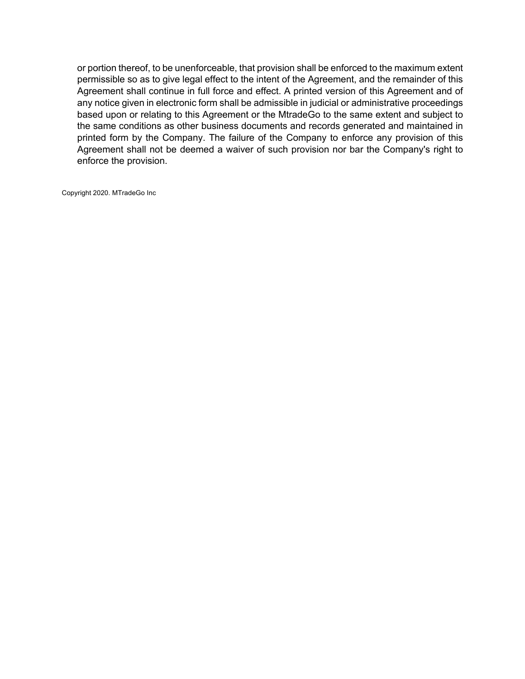or portion thereof, to be unenforceable, that provision shall be enforced to the maximum extent permissible so as to give legal effect to the intent of the Agreement, and the remainder of this Agreement shall continue in full force and effect. A printed version of this Agreement and of any notice given in electronic form shall be admissible in judicial or administrative proceedings based upon or relating to this Agreement or the MtradeGo to the same extent and subject to the same conditions as other business documents and records generated and maintained in printed form by the Company. The failure of the Company to enforce any provision of this Agreement shall not be deemed a waiver of such provision nor bar the Company's right to enforce the provision.

Copyright 2020. MTradeGo Inc